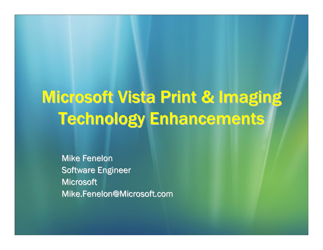# Microsoft Vista Print & Imaging **Technology Enhancements**

**Mike Fenelon** Software Engineer Microsoft Mike.Fenelon@Microsoft.com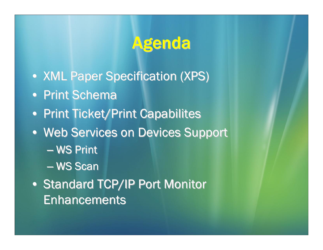# Agenda

- XML Paper Specification (XPS)
- Print Schema
- Print Ticket/Print Capabilites
- Web Services on Devices Support
	- WS Print
	- en al control de la control de — WS Scan
- Standard TCP/IP Port Monitor Enhancements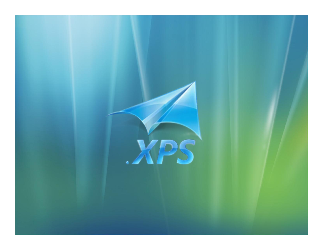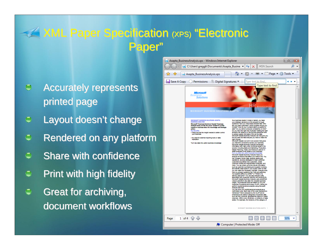#### **XML Paper Specification (xPS) "Electronic** Paper "

- Accurately represents  $\bigoplus$ printed page
- $\bigcirc$ Layout doesn't change
- $\bigodot$ Rendered on any platform
- $\bigcirc$ Share with confidence
- Print with high fidelity Ō
- $\bigoplus$ Great for archiving, Great for archiving, document workflows

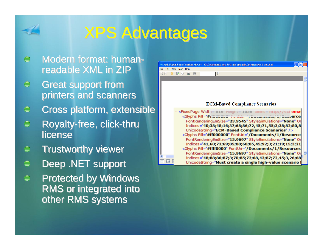

# **XPS Advantages**

- $\bigodot$ Modern format: humanreadable XML in ZIP
- $\ominus$ **Great support from** printers and scanners
- $\ominus$ Cross platform, extensible Cross platform, extensible
- $\bigcirc$ Royalty-free, click-thru license
- **Trustworthy viewer** Ô
- Deep .NET support
- $\bigodot$ **Protected by Windows RMS or integrated into** other RMS systems

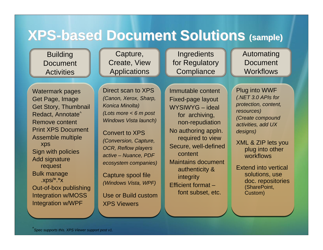## **XPS-based Document Solutions (sample)**

**Building Document Activities** 

Watermark pages Get Page, Image Get Story, Thumbnail Redact, Annotate^ Remove contentPrint XPS DocumentAssemble multiple xps Sign with policies Add signature request Bulk manage  $.XDS/*.*x$ Out-of-box publishing Integration w/MOSS Integration w/WPF

Capture, Create, View Applications

**Ingredients** for Regulatory **Compliance** 

Automating Document **Workflows** 

Direct scan to XPS*(Canon, Xerox, Sharp, Konica Minolta) (Lots more < 6 m post Windows Vista launch)*

Convert to XPS*(Conversion, Capture, OCR, Reflow players active – Nuance, PDF ecosystem companies)*

Capture spool file *(Windows Vista, WPF)*

Use or Build custom XPS Viewers

Immutable contentFixed-page layout WYSIWYG – ideal for archiving, non-repudiation No authoring appln. required to view Secure, well-defined contentMaintains document authenticity & integrity Efficient format –font subset, etc.

Plug into WWF *(.NET 3.0 APIs for protection, content, resources) (Create compound activities, add UX designs)*

XML & ZIP lets you plug into other workflows

Extend into vertical solutions, use doc. repositories (SharePoint, Custom)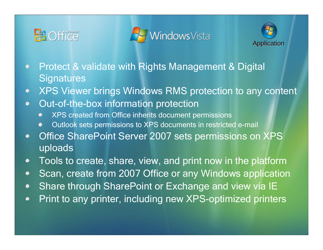





- Protect & validate with Rights Management & Digital  $\bullet$ **Signatures**
- XPS Viewer brings Windows RMS protection to any content  $\bullet$
- Out-of-the-box information protection  $\bullet$ 
	- XPS created from Office inherits document permissions
	- Outlook sets permissions to XPS documents in restricted e-mail
- Office SharePoint Server 2007 sets permissions on XPS  $\bullet$ uploads
- Tools to create, share, view, and print now in the platform  $\bullet$
- Scan, create from 2007 Office or any Windows application  $\bullet$
- Share through SharePoint or Exchange and view via IE  $\bullet$
- Print to any printer, including new XPS-optimized printers  $\bullet$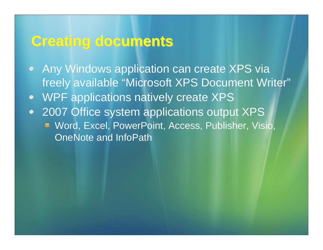#### **Creating documents Creating documents**

- Any Windows application can create XPS via freely available "Microsoft XPS Document Writer"
- WPF applications natively create XPS  $\bullet$
- 2007 Office system applications output XPS  $\bullet$ Word, Excel, PowerPoint, Access, Publisher, Visio, OneNote and InfoPath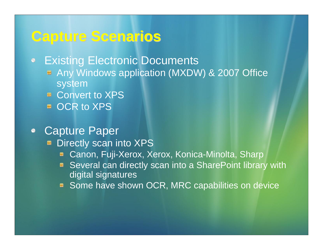#### **Capture Scenarios Capture Scenarios**

**Existing Electronic Documents**  $\bullet$ 

- Any Windows application (MXDW) & 2007 Office system
- Convert to XPS
- OCR to XPS
- Capture Paper
	- Directly scan into XPS
		- Canon, Fuji-Xerox, Xerox, Konica-Minolta, Sharp
		- Several can directly scan into a SharePoint library with digital signatures
		- Some have shown OCR, MRC capabilities on device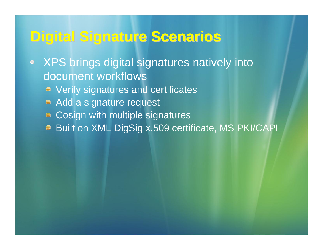## **Digital Signature Scenarios Digital Signature Scenarios**

- XPS brings digital signatures natively into document workflows Verify signatures and certificates
	- Add a signature request
	- Cosign with multiple signatures  $\blacksquare$
	- Built on XML DigSig x.509 certificate, MS PKI/CAPI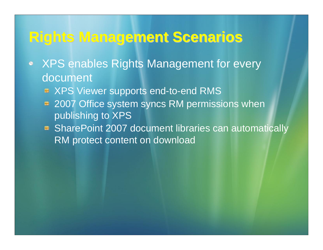#### **Rights Management Scenarios Rights Management Scenarios**

- XPS enables Rights Management for every  $\bullet$ document
	- XPS Viewer supports end-to-end RMS
	- 2007 Office system syncs RM permissions when publishing to XPS
	- **BI** SharePoint 2007 document libraries can automatically RM protect content on download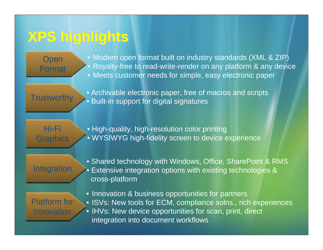## **XPS highlights XPS highlights**

Open Open Format Format • Modern open format built on industry standards (XML & ZIP)  $\bullet$  Royalty-free to read-write-render on any platform & any device • Meets customer needs for simple, easy electronic paper

**Trustworthy** 

• Archivable electronic paper, free of macros and scripts • Built-in support for digital signatures

Hi-Fi Hi-Fi Graphics Graphics • High-quality, high-resolution color printing • WYSIWYG high-fidelity screen to device experience

#### Integration

• Shared technology with Windows, Office, SharePoint & RMS • Extensive integration options with existing technologies & cross-platform

Platform for Innovation

• Innovation & business opportunities for partners • ISVs: New tools for ECM, compliance solns., rich experiences • IHVs: New device opportunities for scan, print, direct integration into document workflows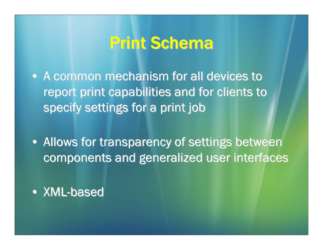# **Print Schema**

- A common mechanism for all devices to report print capabilities and for clients to specify settings for a print job
- Allows for transparency of settings between components and generalized user interfaces
- XML-based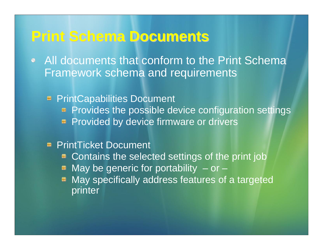#### **Print Schema Documents Print Schema Documents**

• All documents that conform to the Print Schema Framework schema and requirements

**F** PrintCapabilities Document **Provides the possible device configuration settings E** Provided by device firmware or drivers

#### **PrintTicket Document**

- Contains the selected settings of the print job
- May be generic for portability  $-$  or  $-$
- May specifically address features of a targeted printer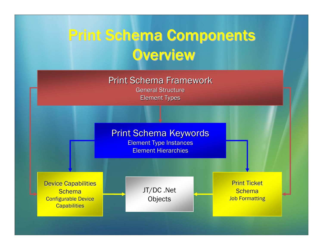# Print Schema Components Print Schema Components **Overview**

Print Schema Framework

General Structure **Element Types** 



**Element Type Instances** Element Hierarchies

**Device Capabilities Schema Configurable Device Capabilities** 

JT/DC .Net **Objects** 

Print Ticket Schema**Job Formatting**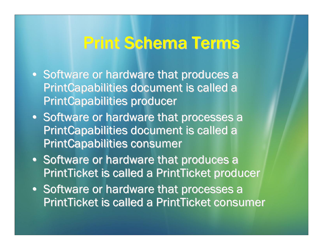# **Print Schema Terms**

- Software or hardware that produces a PrintCapabilities document is called a **PrintCapabilities producer**
- Software or hardware that processes a PrintCapabilities document is called a **PrintCapabilities consumer**
- Software or hardware that produces a PrintTicket is called a PrintTicket producer
- Software or hardware that processes a PrintTicket is called a PrintTicket consumer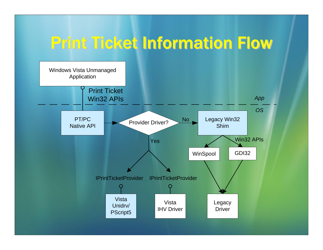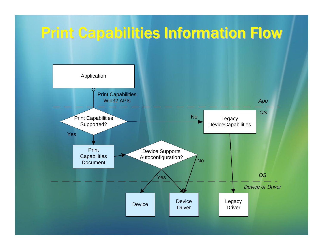# **Print Capabilities Information Flow**

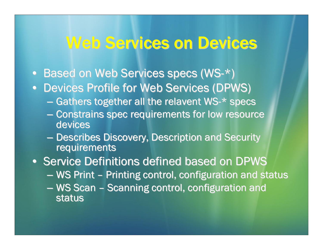### Web Services on Devices

- Based on Web Services specs (WS- $^{\star})$
- Devices Profile for Web Services (DPWS)
	- $-$  Gathers together all the relavent WS-\* specs
	- Constrains spec requirements for low resource devices
	- $\mathcal{L}_{\mathcal{A}}$ **– Describes Discovery, Description and Security** requirements

• Service Definitions defined based on DPWS

- WS Print - Printing control, configuration and status
- WS Scan - Scanning control, configuration and status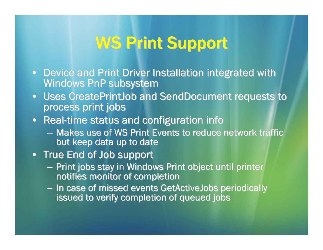# WS Print Support

- Device and Print Driver Installation integrated with Windows PnP subsystem
- Uses CreatePrintJob and SendDocument requests to process print jobs
- Real-time status and configuration info
	- Makes use of WS Print Events to reduce network traffic but keep data up to date
- True End of Job support
	- – $-$  Print jobs stay in Windows Print object until printer notifies monitor of completion
	- –- In case of missed events GetActiveJobs periodically issued to verify completion of queued jobs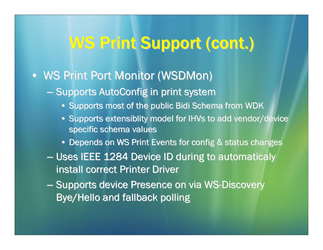# WS Print Support (cont.)

#### • WS Print Port Monitor (WSDMon)

- $-$  Supports AutoConfig in print system
	- $\bullet\,$  Supports most of the public Bidi Schema from WDK
	- Supports extensiblity model for IHVs to add vendor/device specific schema values
	- $\bullet\,$  Depends on WS Print Events for config  $\&$  status changes
- $-$  Uses IEEE 1284 Device ID during to automaticaly install correct Printer Driver
- Supports device Presence on via WS-Discovery Bye/Hello and fallback polling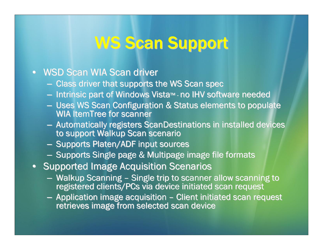# **WS Scan Support**

#### • WSD Scan WIA Scan driver

- $-$  Class driver that supports the WS Scan spec
- Intrinsic part of Windows Vista™ no IHV software needed
- $-$  Uses WS Scan Configuration & Status elements to populate WIA ItemTree for scanner
- Automatically registers ScanDestinations in installed devices to support Walkup Scan scenario
- Supports Platen/ADF input sources
- $\blacksquare$  Supports Single page & Multipage image file formats
- Supported Image Acquisition Scenarios
	- Walkup Scanning - Single trip to scanner allow scanning to registered clients/PCs via device initiated scan request
	- $-$  Application image acquisition  $\overline{\phantom{a}}$ – Client initiated scan request retrieves image from selected scan device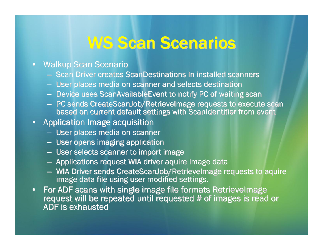# **WS Scan Scenarios**

#### $\bullet$ **Walkup Scan Scenario**

- Scan Driver creates ScanDestinations in installed scanners
- $-$  User places media on scanner and selects destination
- $-$  Device uses ScanAvailableEvent to notify PC of waiting scan
- PC sends CreateScanJob/RetrieveImage requests to execute scan based on current default settings with ScanIdentifier from event
- $\bullet$  Application Image acquisition  $\bullet$ 
	- User places media on scanner
	- $-$  User opens imaging application
	- $-$  User selects scanner to import image
	- $-$  Applications request WIA driver aquire Image data
	- WIA Driver sends CreateScanJob/RetrieveImage requests to aquire image data file using user modified settings.
- $\bullet$ For ADF scans with single image file formats RetrieveImage request will be repeated until requested # of images is read or ADF is exhausted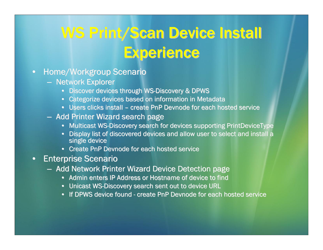# WS Print/Scan Device Install **Experience**

#### $\bullet$ Home/Workgroup Scenario

- Network Explorer
	- Discover devices through WS-Discovery & DPWS
	- Categorize devices based on information in Metadata
	- Users clicks install create PnP Devnode for each hosted service
- Add Printer Wizard search page
	- Multicast WS-Discovery search for devices supporting PrintDeviceType
	- $\bullet$ Display list of discovered devices and allow user to select and install a single device
	- Create PnP Devnode for each hosted service
- • Enterprise Scenario Enterprise Scenario
	- Add Network Printer Wizard Device Detection page
		- Admin enters IP Address or Hostname of device to find
		- Unicast WS-Discovery search sent out to device URL
		- If DPWS device found create PnP Devnode for each hosted service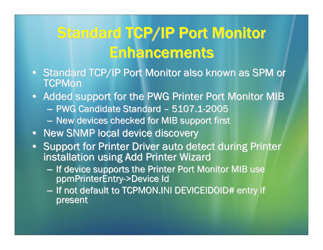# Standard TCP/IP Port Monitor **Enhancements**

- Standard TCP/IP Port Monitor also known as SPM or TCPMon
- Added support for the PWG Printer Port Monitor MIB – PWG Candidate Standard – 5107.1-2005  $-$  New devices checked for MIB support first
- New SNMP local device discovery
- Support for Printer Driver auto detect during Printer installation using Add Printer Wizard
	- $-$  If device supports the Printer Port Monitor MIB use ppmPrinterEntry->Device Id
	- – $-$  If not default to TCPMON.INI DEVICEIDOID# entry if present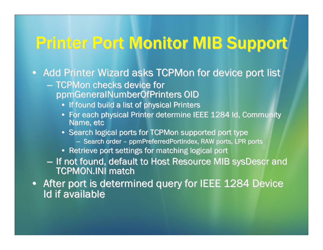# Printer Port Monitor MIB Support

• Add Printer Wizard asks TCPMon for device port list

- $-$  TCPMon checks device for  $\overline{\phantom{a}}$ ppmGeneralNumberOfPrinters OID ppmGeneralNumberOfPrinters OID
	- If found build a list of physical Printers
	- For each physical Printer determine IEEE 1284 Id, Community Name, etc
	- $\bullet\,$  Search logical ports for TCPMon supported port type
		- Search order ppmPreferredPortIndex, RAW ports, LPR ports
	- $\bullet~$  Retrieve port settings for matching logical port
- $-$  If not found, default to Host Resource MIB sysDescr and TCPMON.INI match
- After port is determined query for IEEE 1284 Device Id if available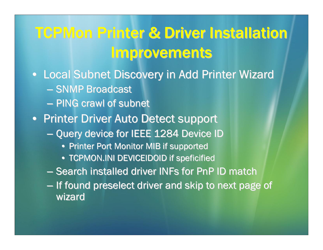# **TCPMon Printer & Driver Installation Improvements**

- Local Subnet Discovery in Add Printer Wizard
	- SNMP Broadcast
	- PING crawl of subnet
- Printer Driver Auto Detect support
	- Query device for IEEE 1284 Device ID Query device for IEEE 1284 Device ID
		- Printer Port Monitor MIB if supported
		- $\bullet$  TCPMON.INI DEVICEIDOID if speficified
	- $-$  Search installed driver INFs for PnP ID match
	- $-$  If found preselect driver and skip to next page of wizard